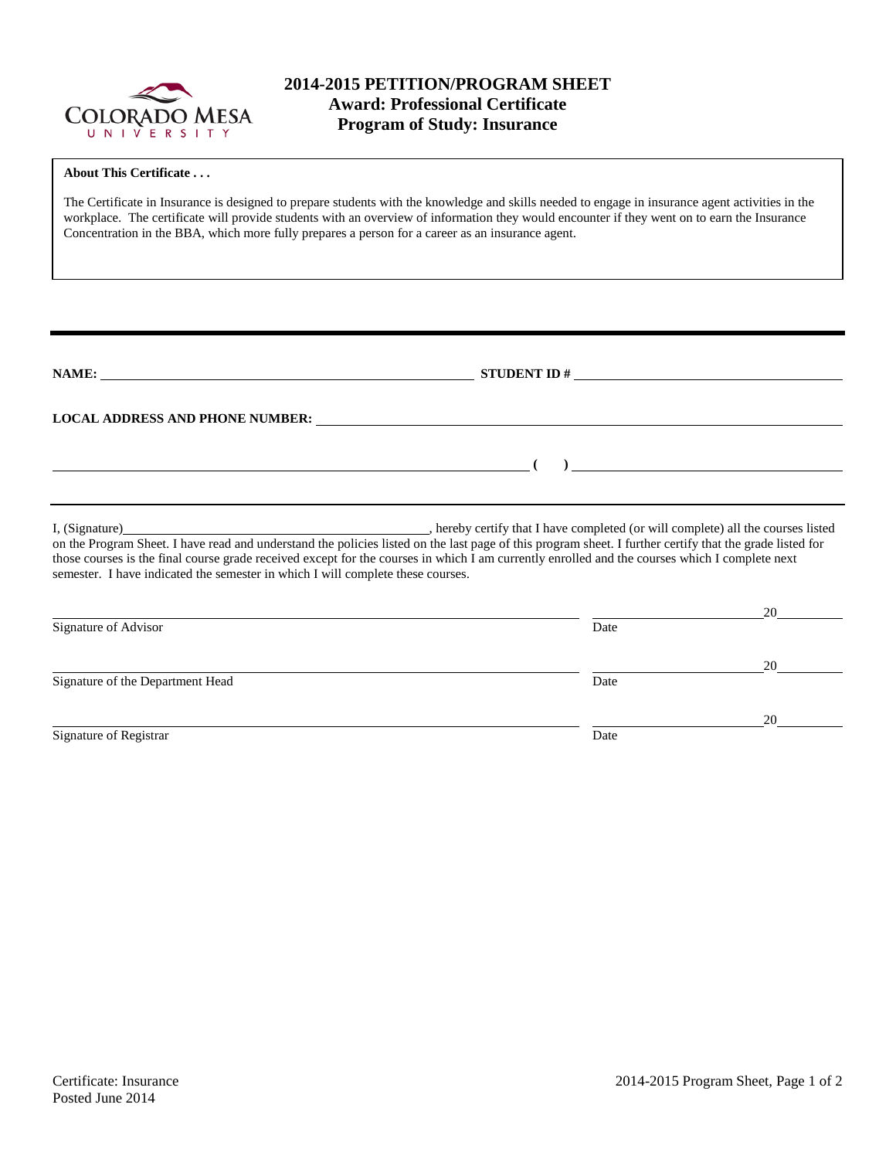

# **2014-2015 PETITION/PROGRAM SHEET Award: Professional Certificate Program of Study: Insurance**

| <b>About This Certificate</b>                                                                                                                                                                                                                                                                                                                                                                                   |                                                                                  |                |  |  |  |  |
|-----------------------------------------------------------------------------------------------------------------------------------------------------------------------------------------------------------------------------------------------------------------------------------------------------------------------------------------------------------------------------------------------------------------|----------------------------------------------------------------------------------|----------------|--|--|--|--|
| The Certificate in Insurance is designed to prepare students with the knowledge and skills needed to engage in insurance agent activities in the<br>workplace. The certificate will provide students with an overview of information they would encounter if they went on to earn the Insurance<br>Concentration in the BBA, which more fully prepares a person for a career as an insurance agent.             |                                                                                  |                |  |  |  |  |
|                                                                                                                                                                                                                                                                                                                                                                                                                 |                                                                                  |                |  |  |  |  |
| NAME: $\qquad \qquad \qquad \textbf{STUDENT ID } \#$                                                                                                                                                                                                                                                                                                                                                            |                                                                                  |                |  |  |  |  |
| LOCAL ADDRESS AND PHONE NUMBER: Under the contract of the contract of the contract of the contract of the contract of the contract of the contract of the contract of the contract of the contract of the contract of the cont                                                                                                                                                                                  |                                                                                  |                |  |  |  |  |
| <u> 1989 - Johann Barn, amerikansk politiker (</u>                                                                                                                                                                                                                                                                                                                                                              |                                                                                  | $\overline{a}$ |  |  |  |  |
| I, (Signature)<br>on the Program Sheet. I have read and understand the policies listed on the last page of this program sheet. I further certify that the grade listed for<br>those courses is the final course grade received except for the courses in which I am currently enrolled and the courses which I complete next<br>semester. I have indicated the semester in which I will complete these courses. | . hereby certify that I have completed (or will complete) all the courses listed |                |  |  |  |  |
|                                                                                                                                                                                                                                                                                                                                                                                                                 |                                                                                  | 20             |  |  |  |  |
| Signature of Advisor                                                                                                                                                                                                                                                                                                                                                                                            | Date                                                                             |                |  |  |  |  |
| Signature of the Department Head                                                                                                                                                                                                                                                                                                                                                                                | Date                                                                             | 20             |  |  |  |  |
|                                                                                                                                                                                                                                                                                                                                                                                                                 |                                                                                  | 20             |  |  |  |  |
| Signature of Registrar                                                                                                                                                                                                                                                                                                                                                                                          | Date                                                                             |                |  |  |  |  |